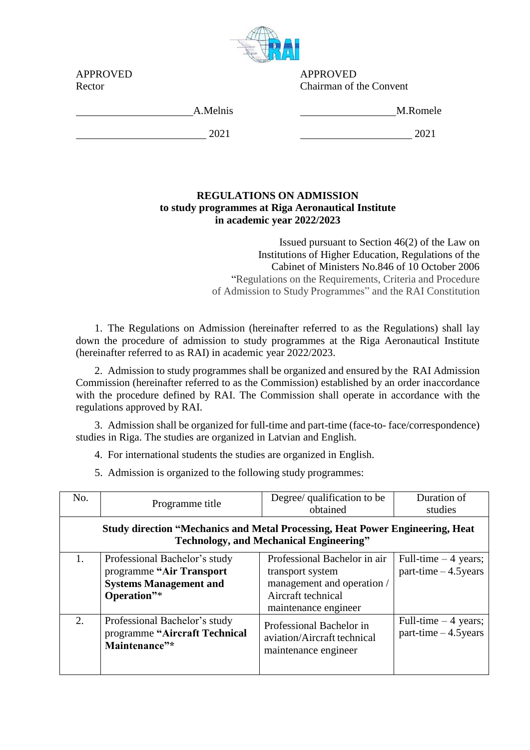

APPROVED APPROVED Chairman of the Convent

| 7 11 1 11 17 17 17 17 |  |
|-----------------------|--|
| Rector                |  |

A.Melnis M.Romele

2021 2021

## **REGULATIONS ON ADMISSION to study programmes at Riga Aeronautical Institute in academic year 2022/2023**

Issued pursuant to Section 46(2) of the Law on Institutions of Higher Education, Regulations of the Cabinet of Ministers No.846 of 10 October 2006 "Regulations on the Requirements, Criteria and Procedure of Admission to Study Programmes" and the RAI Constitution

1. The Regulations on Admission (hereinafter referred to as the Regulations) shall lay down the procedure of admission to study programmes at the Riga Aeronautical Institute (hereinafter referred to as RAI) in academic year 2022/2023.

2. Admission to study programmes shall be organized and ensured by the RAI Admission Commission (hereinafter referred to as the Commission) established by an order inaccordance with the procedure defined by RAI. The Commission shall operate in accordance with the regulations approved by RAI.

3. Admission shall be organized for full-time and part-time (face-to- face/correspondence) studies in Riga. The studies are organized in Latvian and English.

4. For international students the studies are organized in English.

5. Admission is organized to the following study programmes:

| No.                                                                                                                                    | Programme title                                                                                            | Degree/ qualification to be<br>obtained                                                                                      | Duration of<br>studies                           |  |  |
|----------------------------------------------------------------------------------------------------------------------------------------|------------------------------------------------------------------------------------------------------------|------------------------------------------------------------------------------------------------------------------------------|--------------------------------------------------|--|--|
| <b>Study direction "Mechanics and Metal Processing, Heat Power Engineering, Heat</b><br><b>Technology, and Mechanical Engineering"</b> |                                                                                                            |                                                                                                                              |                                                  |  |  |
| 1.                                                                                                                                     | Professional Bachelor's study<br>programme "Air Transport"<br><b>Systems Management and</b><br>Operation"* | Professional Bachelor in air<br>transport system<br>management and operation /<br>Aircraft technical<br>maintenance engineer | Full-time $-4$ years;<br>$part-time - 4.5 years$ |  |  |
| 2.                                                                                                                                     | Professional Bachelor's study<br>programme "Aircraft Technical<br>Maintenance"*                            | Professional Bachelor in<br>aviation/Aircraft technical<br>maintenance engineer                                              | Full-time $-4$ years;<br>$part-time - 4.5 years$ |  |  |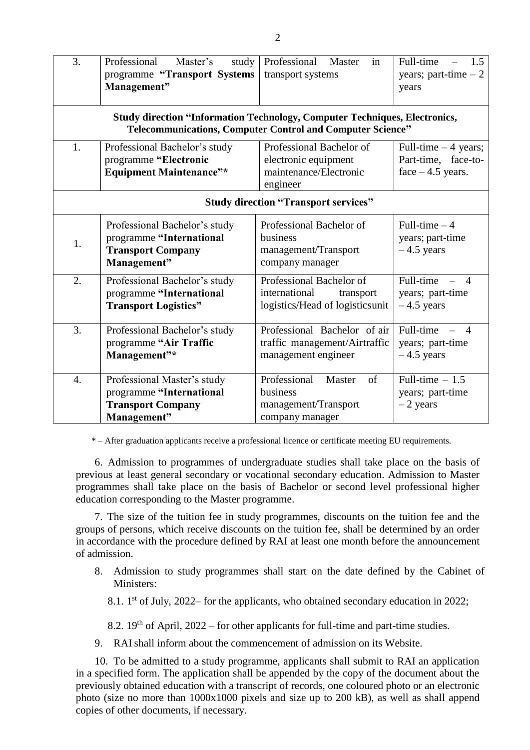| $\overline{3}$ .                                                                                                                                       | Professional<br>Master's<br>study<br>programme "Transport Systems<br>Management"                     | Professional Master<br>in<br>transport systems                                            | Full-time<br>1.5<br>$\equiv$<br>years; part-time $-2$<br>years                                 |  |  |
|--------------------------------------------------------------------------------------------------------------------------------------------------------|------------------------------------------------------------------------------------------------------|-------------------------------------------------------------------------------------------|------------------------------------------------------------------------------------------------|--|--|
| <b>Study direction "Information Technology, Computer Techniques, Electronics,</b><br><b>Telecommunications, Computer Control and Computer Science"</b> |                                                                                                      |                                                                                           |                                                                                                |  |  |
| 1.                                                                                                                                                     | Professional Bachelor's study<br>programme "Electronic<br><b>Equipment Maintenance"*</b>             | Professional Bachelor of<br>electronic equipment<br>maintenance/Electronic<br>engineer    | Full-time $-4$ years;<br>Part-time, face-to-<br>$face - 4.5 years.$                            |  |  |
| <b>Study direction "Transport services"</b>                                                                                                            |                                                                                                      |                                                                                           |                                                                                                |  |  |
| 1.                                                                                                                                                     | Professional Bachelor's study<br>programme "International<br><b>Transport Company</b><br>Management" | Professional Bachelor of<br>business<br>management/Transport<br>company manager           | Full-time $-4$<br>years; part-time<br>$-4.5$ years                                             |  |  |
| 2.                                                                                                                                                     | Professional Bachelor's study<br>programme "International<br><b>Transport Logistics"</b>             | Professional Bachelor of<br>international<br>transport<br>logistics/Head of logisticsunit | Full-time<br>$\overline{4}$<br>$\mathcal{L}^{\mathcal{L}}$<br>years; part-time<br>$-4.5$ years |  |  |
| 3.                                                                                                                                                     | Professional Bachelor's study<br>programme "Air Traffic<br>Management"*                              | Professional Bachelor of air<br>traffic management/Airtraffic<br>management engineer      | Full-time –<br>$\boldsymbol{\Lambda}$<br>years; part-time<br>$-4.5$ years                      |  |  |
| $\overline{4}$ .                                                                                                                                       | Professional Master's study<br>programme "International<br><b>Transport Company</b><br>Management"   | Professional<br>of<br>Master<br>business<br>management/Transport<br>company manager       | Full-time $-1.5$<br>years; part-time<br>$-2$ years                                             |  |  |

\* – After graduation applicants receive a professional licence or certificate meeting EU requirements.

6. Admission to programmes of undergraduate studies shall take place on the basis of previous at least general secondary or vocational secondary education. Admission to Master programmes shall take place on the basis of Bachelor or second level professional higher education corresponding to the Master programme.

7. The size of the tuition fee in study programmes, discounts on the tuition fee and the groups of persons, which receive discounts on the tuition fee, shall be determined by an order in accordance with the procedure defined by RAI at least one month before the announcement of admission.

- 8. Admission to study programmes shall start on the date defined by the Cabinet of Ministers:
	- 8.1. 1<sup>st</sup> of July, 2022– for the applicants, who obtained secondary education in 2022;

8.2.  $19<sup>th</sup>$  of April, 2022 – for other applicants for full-time and part-time studies.

9. RAI shall inform about the commencement of admission on its Website.

10. To be admitted to a study programme, applicants shall submit to RAI an application in a specified form. The application shall be appended by the copy of the document about the previously obtained education with a transcript of records, one coloured photo or an electronic photo (size no more than 1000x1000 pixels and size up to 200 kB), as well as shall append copies of other documents, if necessary.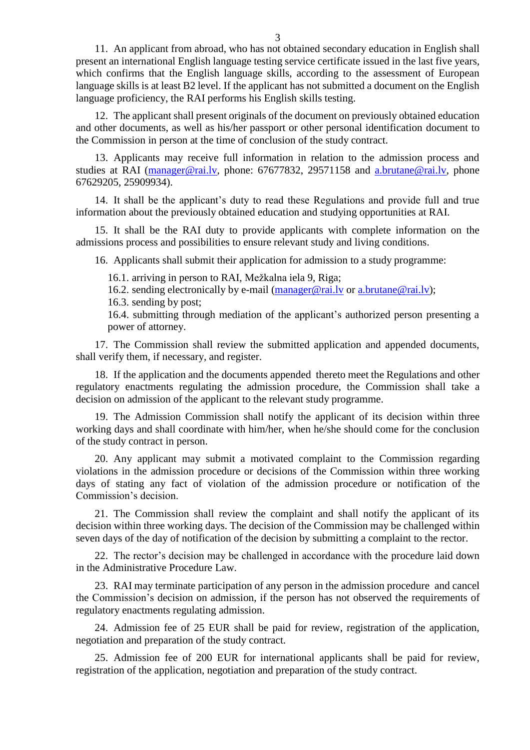11. An applicant from abroad, who has not obtained secondary education in English shall present an international English language testing service certificate issued in the last five years, which confirms that the English language skills, according to the assessment of European language skills is at least B2 level. If the applicant has not submitted a document on the English language proficiency, the RAI performs his English skills testing.

12. The applicant shall present originals of the document on previously obtained education and other documents, as well as his/her passport or other personal identification document to the Commission in person at the time of conclusion of the study contract.

13. Applicants may receive full information in relation to the admission process and studies at RAI [\(manager@rai.lv,](file:///C:/Users/Secretary/AppData/Local/Temp/Rar$DIa0.500/manager@rai.lv) phone: 67677832, 29571158 and [a.brutane@rai.lv,](mailto:a.brutane@rai.lv) phone 67629205, 25909934).

14. It shall be the applicant's duty to read these Regulations and provide full and true information about the previously obtained education and studying opportunities at RAI.

15. It shall be the RAI duty to provide applicants with complete information on the admissions process and possibilities to ensure relevant study and living conditions.

16. Applicants shall submit their application for admission to a study programme:

16.1. arriving in person to RAI, Mežkalna iela 9, Riga;

16.2. sending electronically by e-mail (manager@rai.ly or a.brutane@rai.ly);

16.3. sending by post;

16.4. submitting through mediation of the applicant's authorized person presenting a power of attorney.

17. The Commission shall review the submitted application and appended documents, shall verify them, if necessary, and register.

18. If the application and the documents appended thereto meet the Regulations and other regulatory enactments regulating the admission procedure, the Commission shall take a decision on admission of the applicant to the relevant study programme.

19. The Admission Commission shall notify the applicant of its decision within three working days and shall coordinate with him/her, when he/she should come for the conclusion of the study contract in person.

20. Any applicant may submit a motivated complaint to the Commission regarding violations in the admission procedure or decisions of the Commission within three working days of stating any fact of violation of the admission procedure or notification of the Commission's decision.

21. The Commission shall review the complaint and shall notify the applicant of its decision within three working days. The decision of the Commission may be challenged within seven days of the day of notification of the decision by submitting a complaint to the rector.

22. The rector's decision may be challenged in accordance with the procedure laid down in the Administrative Procedure Law.

23. RAI may terminate participation of any person in the admission procedure and cancel the Commission's decision on admission, if the person has not observed the requirements of regulatory enactments regulating admission.

24. Admission fee of 25 EUR shall be paid for review, registration of the application, negotiation and preparation of the study contract.

25. Admission fee of 200 EUR for international applicants shall be paid for review, registration of the application, negotiation and preparation of the study contract.